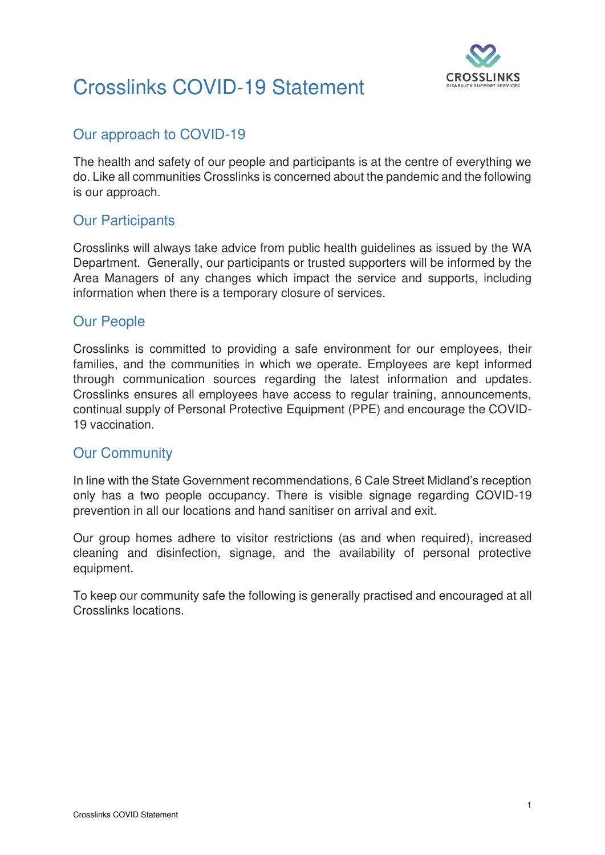

# Crosslinks COVID-19 Statement

## Our approach to COVID-19

The health and safety of our people and participants is at the centre of everything we do. Like all communities Crosslinks is concerned about the pandemic and the following is our approach.

### Our Participants

Crosslinks will always take advice from public health guidelines as issued by the WA Department. Generally, our participants or trusted supporters will be informed by the Area Managers of any changes which impact the service and supports, including information when there is a temporary closure of services.

#### Our People

Crosslinks is committed to providing a safe environment for our employees, their families, and the communities in which we operate. Employees are kept informed through communication sources regarding the latest information and updates. Crosslinks ensures all employees have access to regular training, announcements, continual supply of Personal Protective Equipment (PPE) and encourage the COVID-19 vaccination.

#### Our Community

In line with the State Government recommendations, 6 Cale Street Midland's reception only has a two people occupancy. There is visible signage regarding COVID-19 prevention in all our locations and hand sanitiser on arrival and exit.

Our group homes adhere to visitor restrictions (as and when required), increased cleaning and disinfection, signage, and the availability of personal protective equipment.

To keep our community safe the following is generally practised and encouraged at all Crosslinks locations.